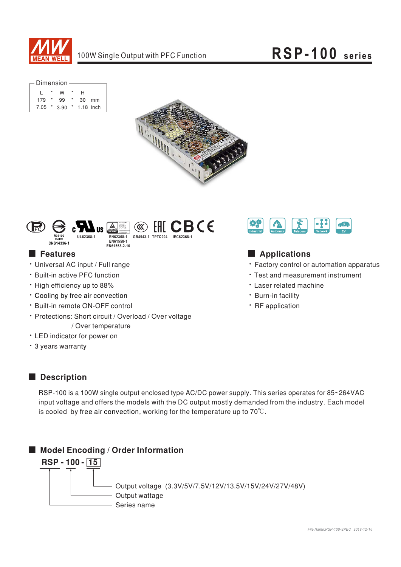

| — Dimension |                |               |         |               |    |  |  |  |  |  |  |  |
|-------------|----------------|---------------|---------|---------------|----|--|--|--|--|--|--|--|
|             |                |               |         |               |    |  |  |  |  |  |  |  |
|             | $\overline{ }$ | W             |         | н             |    |  |  |  |  |  |  |  |
| $179 *$     |                | 99            | $\star$ | 30            | mm |  |  |  |  |  |  |  |
|             |                | $7.05 * 3.90$ |         | $*$ 1.18 inch |    |  |  |  |  |  |  |  |





### ■ Features

- · Universal AC input / Full range
- · Built-in active PFC function
- High efficiency up to 88%
- \* Cooling by free air convection
- · Built-in remote ON-OFF control
- Protections: Short circuit / Overload / Over voltage / Over temperature
- LED indicator for power on
- · 3 years warranty



## **Applications**

- Factory control or automation apparatus
- Test and measurement instrument
- · Laser related machine
- · Burn-in facility
- · RF application

### ■ **Description**

RSP-100 is a 100W single output enclosed type AC/DC power supply. This series operates for 85~264VAC input voltage and offers the models with the DC output mostly demanded from the industry. Each model is cooled by free air convection, working for the temperature up to 70 $\degree$ C.

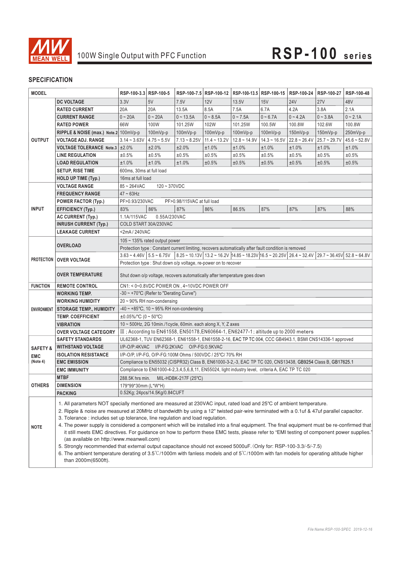

| <b>MODEL</b>           |                                                                                                                                                                                                                                                                                                                                                                                                                                                                                                                                                                                                                                                                                                                                                                                                                                                                                                                                                                                                      | RSP-100-3.3 RSP-100-5                                                                                    |                                  |                                                           | RSP-100-7.5 RSP-100-12 |                                                                                                                                                                                                                                                                                                                                                                            | RSP-100-13.5 RSP-100-15 | RSP-100-24     | RSP-100-27     | RSP-100-48     |  |  |
|------------------------|------------------------------------------------------------------------------------------------------------------------------------------------------------------------------------------------------------------------------------------------------------------------------------------------------------------------------------------------------------------------------------------------------------------------------------------------------------------------------------------------------------------------------------------------------------------------------------------------------------------------------------------------------------------------------------------------------------------------------------------------------------------------------------------------------------------------------------------------------------------------------------------------------------------------------------------------------------------------------------------------------|----------------------------------------------------------------------------------------------------------|----------------------------------|-----------------------------------------------------------|------------------------|----------------------------------------------------------------------------------------------------------------------------------------------------------------------------------------------------------------------------------------------------------------------------------------------------------------------------------------------------------------------------|-------------------------|----------------|----------------|----------------|--|--|
|                        | <b>DC VOLTAGE</b>                                                                                                                                                                                                                                                                                                                                                                                                                                                                                                                                                                                                                                                                                                                                                                                                                                                                                                                                                                                    | 3.3V                                                                                                     | 5V                               | 7.5V                                                      | 12V                    | 13.5V                                                                                                                                                                                                                                                                                                                                                                      | 15V                     | <b>24V</b>     | <b>27V</b>     | 48V            |  |  |
| <b>OUTPUT</b>          | <b>RATED CURRENT</b>                                                                                                                                                                                                                                                                                                                                                                                                                                                                                                                                                                                                                                                                                                                                                                                                                                                                                                                                                                                 | 20A                                                                                                      | 20A                              | 13.5A                                                     | 8.5A                   | 7.5A                                                                                                                                                                                                                                                                                                                                                                       | 6.7A                    | 4.2A           | 3.8A           | 2.1A           |  |  |
|                        | <b>CURRENT RANGE</b>                                                                                                                                                                                                                                                                                                                                                                                                                                                                                                                                                                                                                                                                                                                                                                                                                                                                                                                                                                                 | $0 - 20A$                                                                                                | $0 - 20A$                        | $0 - 13.5A$                                               | $0 - 8.5A$             | $0 - 7.5A$                                                                                                                                                                                                                                                                                                                                                                 | $0 - 6.7A$              | $0 - 4.2A$     | $0 - 3.8A$     | $0 - 2.1A$     |  |  |
|                        | <b>RATED POWER</b>                                                                                                                                                                                                                                                                                                                                                                                                                                                                                                                                                                                                                                                                                                                                                                                                                                                                                                                                                                                   | 66W                                                                                                      | 100W                             | 101.25W                                                   | 102W                   | 101.25W                                                                                                                                                                                                                                                                                                                                                                    | 100.5W                  | 100.8W         | 102.6W         | 100.8W         |  |  |
|                        | RIPPLE & NOISE (max.) Note.2 100mVp-p                                                                                                                                                                                                                                                                                                                                                                                                                                                                                                                                                                                                                                                                                                                                                                                                                                                                                                                                                                |                                                                                                          | $100mVp-p$                       | 100mVp-p                                                  | $100mVp-p$             | $100mVp-p$                                                                                                                                                                                                                                                                                                                                                                 | 100mVp-p                | $150mVp-p$     | $150mVp-p$     | 250mVp-p       |  |  |
|                        | <b>VOLTAGE ADJ. RANGE</b>                                                                                                                                                                                                                                                                                                                                                                                                                                                                                                                                                                                                                                                                                                                                                                                                                                                                                                                                                                            | $3.14 - 3.63V$                                                                                           | $4.75 - 5.5V$                    | $7.13 - 8.25V$                                            | $11.4 - 13.2V$         | $12.8 - 14.9V$                                                                                                                                                                                                                                                                                                                                                             | $14.3 - 16.5V$          | $22.8 - 26.4V$ | $25.7 - 29.7V$ | $45.6 - 52.8V$ |  |  |
|                        | VOLTAGE TOLERANCE Note.3   ±2.0%                                                                                                                                                                                                                                                                                                                                                                                                                                                                                                                                                                                                                                                                                                                                                                                                                                                                                                                                                                     |                                                                                                          | ±2.0%                            | ±2.0%                                                     | ±1.0%                  | ±1.0%                                                                                                                                                                                                                                                                                                                                                                      | ±1.0%                   | ±1.0%          | ±1.0%          | ±1.0%          |  |  |
|                        | <b>LINE REGULATION</b>                                                                                                                                                                                                                                                                                                                                                                                                                                                                                                                                                                                                                                                                                                                                                                                                                                                                                                                                                                               | ±0.5%                                                                                                    | ±0.5%                            | ±0.5%                                                     | ±0.5%                  | ±0.5%                                                                                                                                                                                                                                                                                                                                                                      | ±0.5%                   | ±0.5%          | ±0.5%          | ±0.5%          |  |  |
|                        | <b>LOAD REGULATION</b>                                                                                                                                                                                                                                                                                                                                                                                                                                                                                                                                                                                                                                                                                                                                                                                                                                                                                                                                                                               | ±1.0%                                                                                                    | ±1.0%                            | ±1.0%                                                     | ±0.5%                  | ±0.5%                                                                                                                                                                                                                                                                                                                                                                      | ±0.5%                   | ±0.5%          | ±0.5%          | ±0.5%          |  |  |
|                        | <b>SETUP, RISE TIME</b>                                                                                                                                                                                                                                                                                                                                                                                                                                                                                                                                                                                                                                                                                                                                                                                                                                                                                                                                                                              | 600ms, 30ms at full load                                                                                 |                                  |                                                           |                        |                                                                                                                                                                                                                                                                                                                                                                            |                         |                |                |                |  |  |
|                        | HOLD UP TIME (Typ.)                                                                                                                                                                                                                                                                                                                                                                                                                                                                                                                                                                                                                                                                                                                                                                                                                                                                                                                                                                                  |                                                                                                          |                                  |                                                           |                        |                                                                                                                                                                                                                                                                                                                                                                            |                         |                |                |                |  |  |
|                        |                                                                                                                                                                                                                                                                                                                                                                                                                                                                                                                                                                                                                                                                                                                                                                                                                                                                                                                                                                                                      | 16ms at full load                                                                                        |                                  |                                                           |                        |                                                                                                                                                                                                                                                                                                                                                                            |                         |                |                |                |  |  |
|                        | <b>VOLTAGE RANGE</b>                                                                                                                                                                                                                                                                                                                                                                                                                                                                                                                                                                                                                                                                                                                                                                                                                                                                                                                                                                                 |                                                                                                          | $85 - 264$ VAC<br>$120 - 370VDC$ |                                                           |                        |                                                                                                                                                                                                                                                                                                                                                                            |                         |                |                |                |  |  |
| <b>FREQUENCY RANGE</b> |                                                                                                                                                                                                                                                                                                                                                                                                                                                                                                                                                                                                                                                                                                                                                                                                                                                                                                                                                                                                      | $47 \sim 63$ Hz<br>PF>0.93/230VAC<br>PF>0.98/115VAC at full load                                         |                                  |                                                           |                        |                                                                                                                                                                                                                                                                                                                                                                            |                         |                |                |                |  |  |
| <b>INPUT</b>           | <b>POWER FACTOR (Typ.)</b>                                                                                                                                                                                                                                                                                                                                                                                                                                                                                                                                                                                                                                                                                                                                                                                                                                                                                                                                                                           | 83%                                                                                                      | 86%                              | 87%                                                       | 86%                    | 86.5%                                                                                                                                                                                                                                                                                                                                                                      | 87%                     | 87%            | 87%            | 88%            |  |  |
|                        | <b>EFFICIENCY (Typ.)</b>                                                                                                                                                                                                                                                                                                                                                                                                                                                                                                                                                                                                                                                                                                                                                                                                                                                                                                                                                                             |                                                                                                          |                                  |                                                           |                        |                                                                                                                                                                                                                                                                                                                                                                            |                         |                |                |                |  |  |
|                        | AC CURRENT (Typ.)<br><b>INRUSH CURRENT (Typ.)</b>                                                                                                                                                                                                                                                                                                                                                                                                                                                                                                                                                                                                                                                                                                                                                                                                                                                                                                                                                    | 1.1A/115VAC<br>0.55A/230VAC                                                                              |                                  |                                                           |                        |                                                                                                                                                                                                                                                                                                                                                                            |                         |                |                |                |  |  |
|                        | <b>LEAKAGE CURRENT</b>                                                                                                                                                                                                                                                                                                                                                                                                                                                                                                                                                                                                                                                                                                                                                                                                                                                                                                                                                                               | COLD START 30A/230VAC                                                                                    |                                  |                                                           |                        |                                                                                                                                                                                                                                                                                                                                                                            |                         |                |                |                |  |  |
|                        |                                                                                                                                                                                                                                                                                                                                                                                                                                                                                                                                                                                                                                                                                                                                                                                                                                                                                                                                                                                                      | <2mA / 240VAC<br>105 ~ 135% rated output power                                                           |                                  |                                                           |                        |                                                                                                                                                                                                                                                                                                                                                                            |                         |                |                |                |  |  |
|                        | <b>OVERLOAD</b>                                                                                                                                                                                                                                                                                                                                                                                                                                                                                                                                                                                                                                                                                                                                                                                                                                                                                                                                                                                      |                                                                                                          |                                  |                                                           |                        | Protection type : Constant current limiting, recovers automatically after fault condition is removed                                                                                                                                                                                                                                                                       |                         |                |                |                |  |  |
|                        |                                                                                                                                                                                                                                                                                                                                                                                                                                                                                                                                                                                                                                                                                                                                                                                                                                                                                                                                                                                                      |                                                                                                          |                                  |                                                           |                        | $3.63 \times 4.46 \times 5.5 \times 6.75 \times 6.25 \times 10.13 \times 10.2 \times 16.2 \times 10.23 \times 10.23 \times 10.23 \times 10.25 \times 10.25 \times 10.25 \times 10.25 \times 10.25 \times 10.25 \times 10.25 \times 10.25 \times 10.25 \times 10.25 \times 10.25 \times 10.25 \times 10.25 \times 10.25 \times 10.25 \times 10.25 \times 10.25 \times 10.2$ |                         |                |                |                |  |  |
|                        | <b>PROTECTION   OVER VOLTAGE</b>                                                                                                                                                                                                                                                                                                                                                                                                                                                                                                                                                                                                                                                                                                                                                                                                                                                                                                                                                                     |                                                                                                          |                                  |                                                           |                        |                                                                                                                                                                                                                                                                                                                                                                            |                         |                |                |                |  |  |
|                        |                                                                                                                                                                                                                                                                                                                                                                                                                                                                                                                                                                                                                                                                                                                                                                                                                                                                                                                                                                                                      | Protection type : Shut down o/p voltage, re-power on to recover                                          |                                  |                                                           |                        |                                                                                                                                                                                                                                                                                                                                                                            |                         |                |                |                |  |  |
|                        | <b>OVER TEMPERATURE</b>                                                                                                                                                                                                                                                                                                                                                                                                                                                                                                                                                                                                                                                                                                                                                                                                                                                                                                                                                                              | Shut down o/p voltage, recovers automatically after temperature goes down                                |                                  |                                                           |                        |                                                                                                                                                                                                                                                                                                                                                                            |                         |                |                |                |  |  |
| <b>FUNCTION</b>        | <b>REMOTE CONTROL</b>                                                                                                                                                                                                                                                                                                                                                                                                                                                                                                                                                                                                                                                                                                                                                                                                                                                                                                                                                                                | CN1: < 0~0.8VDC POWER ON, 4~10VDC POWER OFF                                                              |                                  |                                                           |                        |                                                                                                                                                                                                                                                                                                                                                                            |                         |                |                |                |  |  |
|                        | <b>WORKING TEMP.</b>                                                                                                                                                                                                                                                                                                                                                                                                                                                                                                                                                                                                                                                                                                                                                                                                                                                                                                                                                                                 | -30 ~ +70°C (Refer to "Derating Curve")                                                                  |                                  |                                                           |                        |                                                                                                                                                                                                                                                                                                                                                                            |                         |                |                |                |  |  |
|                        | <b>WORKING HUMIDITY</b>                                                                                                                                                                                                                                                                                                                                                                                                                                                                                                                                                                                                                                                                                                                                                                                                                                                                                                                                                                              | $20 \sim 90\%$ RH non-condensing                                                                         |                                  |                                                           |                        |                                                                                                                                                                                                                                                                                                                                                                            |                         |                |                |                |  |  |
| <b>ENVIRONMENT</b>     | <b>STORAGE TEMP., HUMIDITY</b>                                                                                                                                                                                                                                                                                                                                                                                                                                                                                                                                                                                                                                                                                                                                                                                                                                                                                                                                                                       | $-40 \sim +85^{\circ}$ C, 10 ~ 95% RH non-condensing                                                     |                                  |                                                           |                        |                                                                                                                                                                                                                                                                                                                                                                            |                         |                |                |                |  |  |
|                        | <b>TEMP. COEFFICIENT</b>                                                                                                                                                                                                                                                                                                                                                                                                                                                                                                                                                                                                                                                                                                                                                                                                                                                                                                                                                                             | $\pm 0.05\%$ °C (0 ~ 50°C)                                                                               |                                  |                                                           |                        |                                                                                                                                                                                                                                                                                                                                                                            |                         |                |                |                |  |  |
|                        | <b>VIBRATION</b>                                                                                                                                                                                                                                                                                                                                                                                                                                                                                                                                                                                                                                                                                                                                                                                                                                                                                                                                                                                     | 10 ~ 500Hz, 2G 10min./1cycle, 60min. each along X, Y, Z axes                                             |                                  |                                                           |                        |                                                                                                                                                                                                                                                                                                                                                                            |                         |                |                |                |  |  |
|                        | <b>OVER VOLTAGE CATEGORY</b>                                                                                                                                                                                                                                                                                                                                                                                                                                                                                                                                                                                                                                                                                                                                                                                                                                                                                                                                                                         | III ; According to EN61558, EN50178, EN60664-1, EN62477-1; altitude up to 2000 meters                    |                                  |                                                           |                        |                                                                                                                                                                                                                                                                                                                                                                            |                         |                |                |                |  |  |
|                        | <b>SAFETY STANDARDS</b>                                                                                                                                                                                                                                                                                                                                                                                                                                                                                                                                                                                                                                                                                                                                                                                                                                                                                                                                                                              | UL62368-1, TUV EN62368-1, EN61558-1, EN61558-2-16, EAC TP TC 004, CCC GB4943.1, BSMI CNS14336-1 approved |                                  |                                                           |                        |                                                                                                                                                                                                                                                                                                                                                                            |                         |                |                |                |  |  |
| <b>SAFETY &amp;</b>    | <b>WITHSTAND VOLTAGE</b>                                                                                                                                                                                                                                                                                                                                                                                                                                                                                                                                                                                                                                                                                                                                                                                                                                                                                                                                                                             | I/P-O/P:4KVAC I/P-FG:2KVAC O/P-FG:0.5KVAC                                                                |                                  |                                                           |                        |                                                                                                                                                                                                                                                                                                                                                                            |                         |                |                |                |  |  |
| <b>EMC</b>             | <b>ISOLATION RESISTANCE</b>                                                                                                                                                                                                                                                                                                                                                                                                                                                                                                                                                                                                                                                                                                                                                                                                                                                                                                                                                                          |                                                                                                          |                                  | I/P-O/P, I/P-FG, O/P-FG:100M Ohms / 500VDC / 25°C/ 70% RH |                        |                                                                                                                                                                                                                                                                                                                                                                            |                         |                |                |                |  |  |
| (Note 4)               | Compliance to EN55032 (CISPR32) Class B, EN61000-3-2,-3, EAC TP TC 020, CNS13438, GB9254 Class B, GB17625.1<br><b>EMC EMISSION</b>                                                                                                                                                                                                                                                                                                                                                                                                                                                                                                                                                                                                                                                                                                                                                                                                                                                                   |                                                                                                          |                                  |                                                           |                        |                                                                                                                                                                                                                                                                                                                                                                            |                         |                |                |                |  |  |
|                        | <b>EMC IMMUNITY</b>                                                                                                                                                                                                                                                                                                                                                                                                                                                                                                                                                                                                                                                                                                                                                                                                                                                                                                                                                                                  | Compliance to EN61000-4-2,3,4,5,6,8,11, EN55024, light industry level, criteria A, EAC TP TC 020         |                                  |                                                           |                        |                                                                                                                                                                                                                                                                                                                                                                            |                         |                |                |                |  |  |
|                        | <b>MTBF</b>                                                                                                                                                                                                                                                                                                                                                                                                                                                                                                                                                                                                                                                                                                                                                                                                                                                                                                                                                                                          |                                                                                                          |                                  | 288.5K hrs min. MIL-HDBK-217F (25°C)                      |                        |                                                                                                                                                                                                                                                                                                                                                                            |                         |                |                |                |  |  |
| <b>OTHERS</b>          | <b>DIMENSION</b>                                                                                                                                                                                                                                                                                                                                                                                                                                                                                                                                                                                                                                                                                                                                                                                                                                                                                                                                                                                     | 179*99*30mm (L*W*H)                                                                                      |                                  |                                                           |                        |                                                                                                                                                                                                                                                                                                                                                                            |                         |                |                |                |  |  |
|                        | <b>PACKING</b>                                                                                                                                                                                                                                                                                                                                                                                                                                                                                                                                                                                                                                                                                                                                                                                                                                                                                                                                                                                       |                                                                                                          | 0.52Kg; 24pcs/14.5Kg/0.84CUFT    |                                                           |                        |                                                                                                                                                                                                                                                                                                                                                                            |                         |                |                |                |  |  |
| <b>NOTE</b>            | 1. All parameters NOT specially mentioned are measured at 230VAC input, rated load and 25°C of ambient temperature.<br>2. Ripple & noise are measured at 20MHz of bandwidth by using a 12" twisted pair-wire terminated with a 0.1uf & 47uf parallel capacitor.<br>3. Tolerance : includes set up tolerance, line regulation and load regulation.<br>4. The power supply is considered a component which will be installed into a final equipment. The final equipment must be re-confirmed that<br>it still meets EMC directives. For guidance on how to perform these EMC tests, please refer to "EMI testing of component power supplies."<br>(as available on http://www.meanwell.com)<br>5. Strongly recommended that external output capacitance should not exceed 5000uF. (Only for: RSP-100-3.3/-5/-7.5)<br>6. The ambient temperature derating of $3.5^{\circ}$ C/1000m with fanless models and of $5^{\circ}$ C/1000m with fan models for operating altitude higher<br>than 2000m(6500ft). |                                                                                                          |                                  |                                                           |                        |                                                                                                                                                                                                                                                                                                                                                                            |                         |                |                |                |  |  |